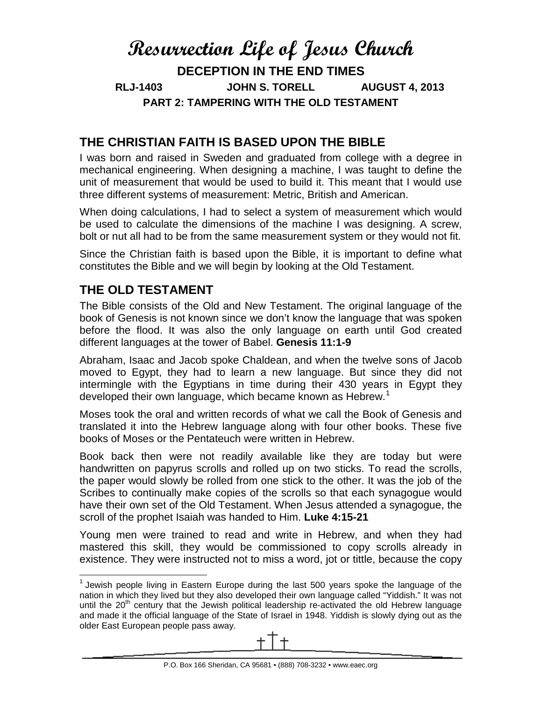# **Resurrection Life of Jesus Church DECEPTION IN THE END TIMES RLJ-1403 JOHN S. TORELL AUGUST 4, 2013 PART 2: TAMPERING WITH THE OLD TESTAMENT**

## **THE CHRISTIAN FAITH IS BASED UPON THE BIBLE**

I was born and raised in Sweden and graduated from college with a degree in mechanical engineering. When designing a machine, I was taught to define the unit of measurement that would be used to build it. This meant that I would use three different systems of measurement: Metric, British and American.

When doing calculations, I had to select a system of measurement which would be used to calculate the dimensions of the machine I was designing. A screw, bolt or nut all had to be from the same measurement system or they would not fit.

Since the Christian faith is based upon the Bible, it is important to define what constitutes the Bible and we will begin by looking at the Old Testament.

### **THE OLD TESTAMENT**

The Bible consists of the Old and New Testament. The original language of the book of Genesis is not known since we don't know the language that was spoken before the flood. It was also the only language on earth until God created different languages at the tower of Babel. **Genesis 11:1-9**

Abraham, Isaac and Jacob spoke Chaldean, and when the twelve sons of Jacob moved to Egypt, they had to learn a new language. But since they did not intermingle with the Egyptians in time during their 430 years in Egypt they developed their own language, which became known as Hebrew.<sup>[1](#page-0-0)</sup>

Moses took the oral and written records of what we call the Book of Genesis and translated it into the Hebrew language along with four other books. These five books of Moses or the Pentateuch were written in Hebrew.

Book back then were not readily available like they are today but were handwritten on papyrus scrolls and rolled up on two sticks. To read the scrolls, the paper would slowly be rolled from one stick to the other. It was the job of the Scribes to continually make copies of the scrolls so that each synagogue would have their own set of the Old Testament. When Jesus attended a synagogue, the scroll of the prophet Isaiah was handed to Him. **Luke 4:15-21**

Young men were trained to read and write in Hebrew, and when they had mastered this skill, they would be commissioned to copy scrolls already in existence. They were instructed not to miss a word, jot or tittle, because the copy

<span id="page-0-0"></span> $1$  Jewish people living in Eastern Europe during the last 500 years spoke the language of the nation in which they lived but they also developed their own language called "Yiddish." It was not until the 20<sup>th</sup> century that the Jewish political leadership re-activated the old Hebrew language and made it the official language of the State of Israel in 1948. Yiddish is slowly dying out as the older East European people pass away.

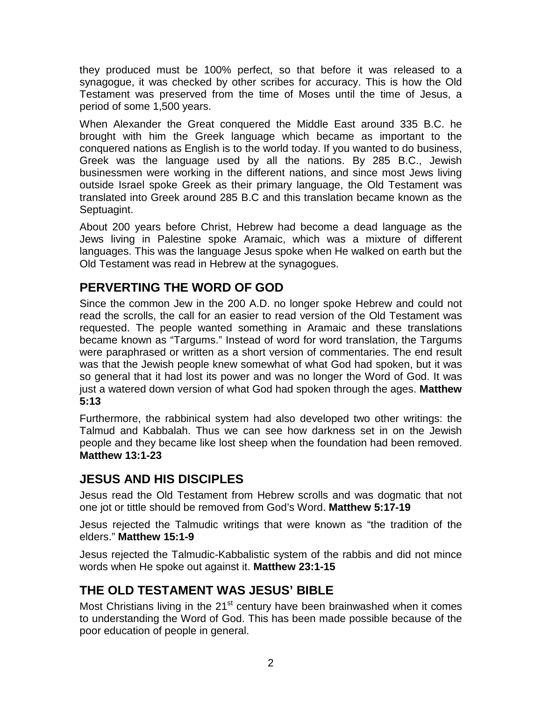they produced must be 100% perfect, so that before it was released to a synagogue, it was checked by other scribes for accuracy. This is how the Old Testament was preserved from the time of Moses until the time of Jesus, a period of some 1,500 years.

When Alexander the Great conquered the Middle East around 335 B.C. he brought with him the Greek language which became as important to the conquered nations as English is to the world today. If you wanted to do business, Greek was the language used by all the nations. By 285 B.C., Jewish businessmen were working in the different nations, and since most Jews living outside Israel spoke Greek as their primary language, the Old Testament was translated into Greek around 285 B.C and this translation became known as the Septuagint.

About 200 years before Christ, Hebrew had become a dead language as the Jews living in Palestine spoke Aramaic, which was a mixture of different languages. This was the language Jesus spoke when He walked on earth but the Old Testament was read in Hebrew at the synagogues.

# **PERVERTING THE WORD OF GOD**

Since the common Jew in the 200 A.D. no longer spoke Hebrew and could not read the scrolls, the call for an easier to read version of the Old Testament was requested. The people wanted something in Aramaic and these translations became known as "Targums." Instead of word for word translation, the Targums were paraphrased or written as a short version of commentaries. The end result was that the Jewish people knew somewhat of what God had spoken, but it was so general that it had lost its power and was no longer the Word of God. It was just a watered down version of what God had spoken through the ages. **Matthew 5:13**

Furthermore, the rabbinical system had also developed two other writings: the Talmud and Kabbalah. Thus we can see how darkness set in on the Jewish people and they became like lost sheep when the foundation had been removed. **Matthew 13:1-23**

### **JESUS AND HIS DISCIPLES**

Jesus read the Old Testament from Hebrew scrolls and was dogmatic that not one jot or tittle should be removed from God's Word. **Matthew 5:17-19**

Jesus rejected the Talmudic writings that were known as "the tradition of the elders." **Matthew 15:1-9**

Jesus rejected the Talmudic-Kabbalistic system of the rabbis and did not mince words when He spoke out against it. **Matthew 23:1-15**

### **THE OLD TESTAMENT WAS JESUS' BIBLE**

Most Christians living in the  $21<sup>st</sup>$  century have been brainwashed when it comes to understanding the Word of God. This has been made possible because of the poor education of people in general.